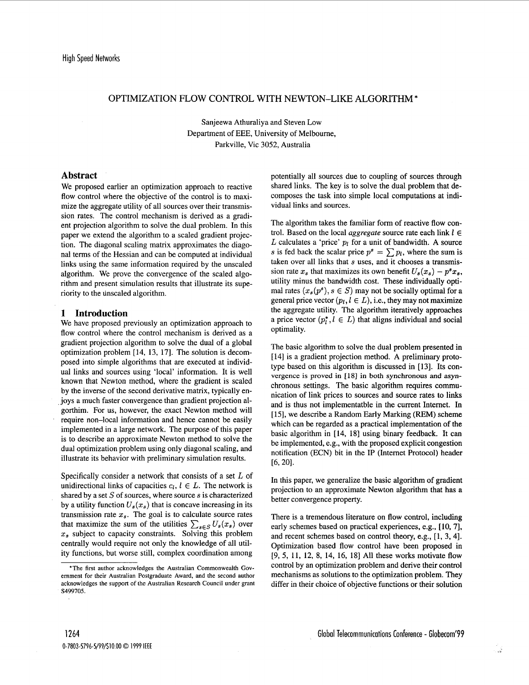## OPTIMIZATION FLOW CONTROL WITH NEWTON-LIKE ALGORITHM \*

Sanjeewa Athuraliya and Steven Low Department of EEE, University of Melbourne, Parkville, Vic 3052, Australia

# **Abstract**

We proposed earlier an optimization approach to reactive flow control where the objective of the control is to maximize the aggregate utility of all sources over their transmission rates. The control mechanism is derived as a gradient projection algorithm to solve the dual problem. In this paper we extend the algorithm to a scaled gradient projection. The diagonal scaling matrix approximates the diagonal terms of the Hessian and can be computed at individual links using the same information required by the unscaled algorithm. We prove the convergence of the scaled algorithm and present simulation results that illustrate its superiority to the unscaled algorithm.

# **1 Introduction**

We have proposed previously an optimization approach to flow control where the control mechanism is derived as a gradient projection algorithm to solve the dual of a global optimization problem **[14, 13, 171.** The solution is decomposed into simple algorithms that are executed at individual links and sources using 'local' information. It is well known that Newton method, where the gradient is scaled by the inverse of the second derivative matrix, typically enjoys a much faster convergence than gradient projection algorthim. For us, however, the exact Newton method will require non-local information and hence cannot be easily implemented in a large network. The purpose of this paper is to describe an approximate Newton method to solve the dual optimization problem using only diagonal scaling, and illustrate its behavior with preliminary simulation results.

Specifically consider a network that consists of a set *L* of unidirectional links of capacities  $c_l$ ,  $l \in L$ . The network is shared by a set *S* of sources, where source *s* is characterized by a utility function  $U_s(x_s)$  that is concave increasing in its transmission rate  $x_s$ . The goal is to calculate source rates that maximize the sum of the utilities  $\sum_{s \in S} U_s(x_s)$  over *x,* subject to capacity constraints. Solving this problem centrally would require not only the knowledge of all utility functions, but worse still, complex coordination among potentially all sources due to coupling of sources through shared links. The key is to solve the dual problem that decomposes the task into simple local computations at individual links and sources.

The algorithm takes the familiar form of reactive flow control. Based on the local *aggregate* source rate each link  $l \in$  $L$  calculates a 'price'  $p_l$  for a unit of bandwidth. A source s is fed back the scalar price  $p^s = \sum p_i$ , where the sum is taken over all links that *s* uses, and it chooses a transmission rate  $x_s$  that maximizes its own benefit  $U_s(x_s) - p^s x_s$ , utility minus the bandwidth cost. These individually optimal rates  $(x_s(p^s), s \in S)$  may not be socially optimal for a general price vector  $(p_l, l \in L)$ , i.e., they may not maximize the aggregate utility. The algorithm iteratively approaches a price vector  $(p_i^*, l \in L)$  that aligns individual and social optimality.

The basic algorithm to solve the dual problem presented in [ **141** is a gradient projection method. A preliminary prototype based on this algorithm is discussed in **[13].** Its con**vergence is proved in [18] in both synchronous and asyn**chronous settings. The basic algorithm requires communication of link prices to sources and source rates to links and is thus not implementatble in the current Internet. In **[15],** we describe a Random Early Marking **(REM)** scheme which can be regarded as a practical implementation **of** the basic algorithm in **[14, 181** using binary feedback. It can be implemented, e.g., with the proposed explicit congestion notification (ECN) bit in the IP (Internet Protocol) header **[6,201.** 

In this paper, we generalize the basic algorithm of gradient projection to an approximate Newton algorithm that has a better convergence property.

There is a tremendous literature on flow control, including early schemes based on practical experiences, e.g., **[lo, 71,**  and recent schemes based on control theory, e.g., **[l, 3, 41.**  Optimization based flow control have been proposed in [9, 5, **11, 12, 8, 14, 16, 181** All these works motivate flow control by an optimization problem and derive their control mechanisms as solutions to the optimization problem. They differ in their choice of objective functions or their solution

**<sup>&#</sup>x27;The first author acknowledges the Australian Commonwealth Government for their Australian Postgraduate Award, and the second author acknowledges the support of the Australian Research Council under grant S499705.**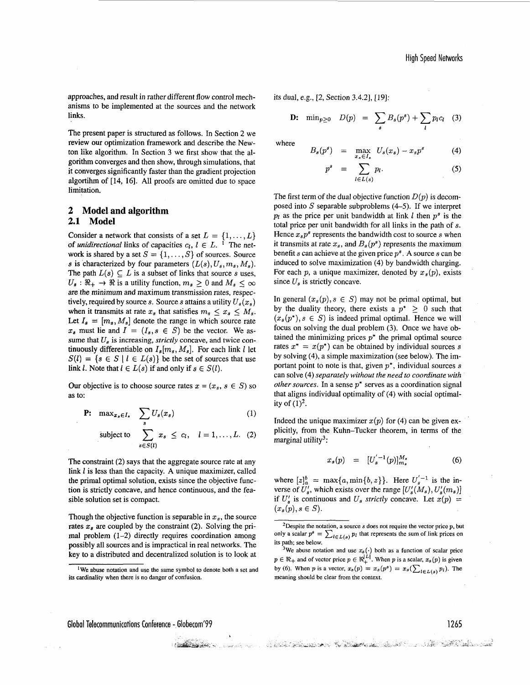approaches, and result in rather different flow control mechanisms to be implemented at the sources and the network links.

The present paper is structured as follows. In Section *2* we review our optimization framework and describe the Newton like algorithm. In Section **3** we first show that the algorithm converges and then show, through simulations, that it converges significantly faster than the gradient projection algortihm of [14, **161.** All proofs are omitted due to space limitation.

# **2 Model and algorithm 2.1 Model**

Consider a network that consists of a set  $L = \{1, \ldots, L\}$ of *unidirectional* links of capacities  $c_l$ ,  $l \in L$ . <sup>1</sup> The network is shared by a set  $S = \{1, \ldots, S\}$  of sources. Source *s* is characterized by four parameters  $(L(s), U_s, m_s, M_s)$ . The path  $L(s) \subseteq L$  is a subset of links that source *s* uses,  $U_s$ :  $\Re_+ \rightarrow \Re$  is a utility function,  $m_s \geq 0$  and  $M_s \leq \infty$ are the minimum and maximum transmission rates, respectively, required by source *s*. Source *s* attains a utility  $U_s(x_s)$ when it transmits at rate  $x_s$  that satisfies  $m_s \le x_s \le M_s$ . Let  $I_s = [m_s, M_s]$  denote the range in which source rate  $x_s$  must lie and  $I = (I_s, s \in S)$  be the vector. We assume that  $U_s$  is increasing, *strictly* concave, and twice continuously differentiable on  $I_s[m_s, M_s]$ . For each link *l* let  $S(l) = \{s \in S \mid l \in L(s)\}\$  be the set of sources that use link *l*. Note that  $l \in L(s)$  if and only if  $s \in S(l)$ .

Our objective is to choose source rates  $x = (x_s, s \in S)$  so **as** to:

$$
\mathbf{P:} \quad \max_{x_s \in I_s} \quad \sum_s U_s(x_s) \tag{1}
$$

subject to 
$$
\sum_{s \in S(l)} x_s \leq c_l, \quad l = 1, ..., L. \quad (2)
$$

The constraint (2) says that the aggregate source rate at any link *l* is less than the capacity. A unique maximizer, called the primal optimal solution, exists since the objective function is strictly concave, and hence continuous, and the feasible solution set is compact.

Though the objective function is separable in  $x_s$ , the source rates  $x_s$  are coupled by the constraint (2). Solving the primal problem (1-2) directly requires coordination among possibly all sources and is impractical in real networks. The key to a distributed and decentralized solution is to look at

its dual, e.g., [2, Section 3.4.21, [19]:

 $\overline{p}$ 

**D:** 
$$
\min_{p\geq 0} D(p) = \sum_{s} B_s(p^s) + \sum_{l} p_l c_l
$$
 (3)

where

$$
B_s(p^s) = \max_{x_s \in I_s} U_s(x_s) - x_s p^s \tag{4}
$$

$$
s = \sum_{l \in L(s)} p_l. \tag{5}
$$

The first term of the dual objective function  $D(p)$  is decomposed into *S* separable subproblems **(4-5).** If we interpret  $p_l$  as the price per unit bandwidth at link *l* then  $p^s$  is the total price per unit bandwidth for all links in the path of *s.*  Hence  $x_s p^s$  represents the bandwidth cost to source s when it transmits at rate  $x_s$ , and  $B_s(p^s)$  represents the maximum benefit *s* can achieve at the given price  $p^s$ . A source *s* can be induced to solve maximization (4) by bandwidth charging. For each  $p$ , a unique maximizer, denoted by  $x_s(p)$ , exists since  $U_s$  is strictly concave.

In general  $(x_s(p), s \in S)$  may not be primal optimal, but by the duality theory, there exists a  $p^* \geq 0$  such that  $(x_s(p^*), s \in S)$  is indeed primal optimal. Hence we will focus on solving the dual problem **(3).** Once we have obtained the minimizing prices  $p^*$  the primal optimal source rates  $x^* = x(p^*)$  can be obtained by individual sources s by solving (4), a simple maximization (see below). The important point to note is that, given *p\*,* individual sources s can solve (4) *separately without the need to coordinate with other sources.* In a sense *p\** serves as a coordination signal that aligns individual optimality of (4) with social optimality of  $(1)^2$ .

Indeed the unique maximizer  $x(p)$  for (4) can be given explicitly, from the Kuhn-Tucker theorem, in terms of the marginal utility<sup>3</sup>:

$$
x_s(p) = [U_s^{'-1}(p)]_{m_s}^{M_s}
$$
 (6)

where  $[z]_a^b = \max\{a, \min\{b, z\}\}\$ . Here  $U'_s{}^{-1}$  is the inverse of  $U'_s$ , which exists over the range  $[U'_s(M_s), U'_s(m_s)]$ if  $U'_s$  is continuous and  $U_s$  *strictly* concave. Let  $x(p)$  =  $(x_s(p), s \in S)$ .

Global Telecommunications Conference - Globecom'99 1265

a kata ang pangalakan ng pangalakan ng mga kalendaryon ng mga kalangang na kalangang nang --

<sup>&</sup>lt;sup>1</sup>We abuse notation and use the same symbol to denote both a set and its cardinality when there is no danger of confusion.

<sup>&#</sup>x27;Despite the notation, a source s does not require the vector price *p,* but only a scalar  $p^s = \sum_{l \in L(s)} p_l$  that represents the sum of link prices on its path; see below.

<sup>&</sup>lt;sup>3</sup>We abuse notation and use  $x_s(\cdot)$  both as a function of scalar price  $p \in \Re_+$  and of vector price  $p \in \Re_+^{\Sigma}$ . When p is a scalar,  $x_s(p)$  is given by (6). When p is a vector,  $x_s(p) = x_s(p^s) = x_s(\sum_{l \in L(s)} p_l)$ . The meaning should be clear from the context.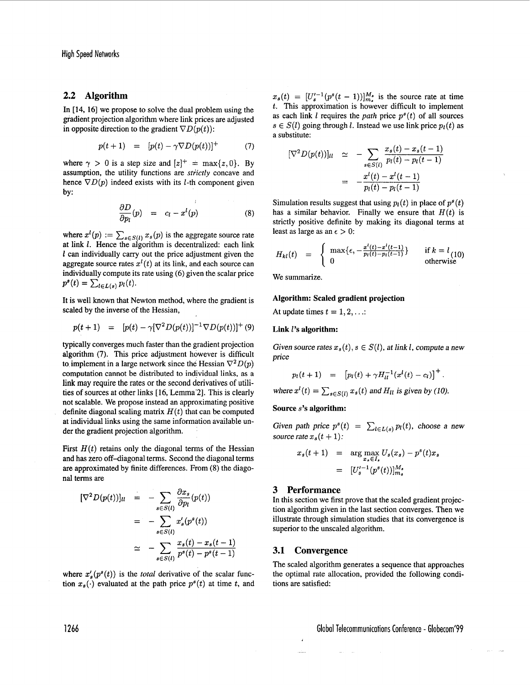# **2.2 Algorithm**

gradient projection algorithm where link prices are adjusted in opposite direction to the gradient  $\nabla D(p(t))$ :

$$
p(t+1) = [p(t) - \gamma \nabla D(p(t))]^{+} \tag{7}
$$

where  $\gamma > 0$  is a step size and  $[z]^+$  = max{z, 0}. By assumption, the utility functions are *stiictly* concave and hence  $\nabla D(p)$  indeed exists with its *l*-th component given by:

$$
\frac{\partial D}{\partial p_l}(p) = c_l - x^l(p) \tag{8}
$$

where  $x^l(p) := \sum_{s \in S(l)} x_s(p)$  is the aggregate source rate at link *1.* Hence the algorithm is decentralized: each link *l* can individually carry out the price adjustment given the aggregate source rates  $x^{l}(t)$  at its link, and each source can individually compute its rate using (6) given the scalar price we summarize.  $p^{s}(t) = \sum_{l \in L(s)} p_{l}(t).$ 

**It** is well known that Newton method, where the gradient is scaled by the inverse of the Hessian,

$$
p(t+1) = [p(t) - \gamma[\nabla^2 D(p(t))]^{-1} \nabla D(p(t))]^{+}(9)
$$

typically converges much than the gradient projection algorithm **(7).** This price adjustment however is difficult to implement in a large network since the Hessian  $\nabla^2 D(p)$ computation cannot be distributed to individual links, **as** a **link** may require the rates or the second derivatives of utilities of sources at other links [16, Lemma<sup>2</sup>]. This is clearly not scalable. We propose instead an approximating positive definite diagonal scaling matrix  $H(t)$  that can be computed at individual links using the same information available unat manyioual links using the same information available un-<br>der the gradient projection algorithm.

First  $H(t)$  retains only the diagonal terms of the Hessian and has zero off-diagonal terms. Second the diagonal terms are approximated by finite differences. From (8) the diago-<br>
nal terms are  $[U_s'^{-1}(p^s(t))]_{m_s}^{M_s}$ 

$$
[\nabla^2 D(p(t))]_{ll} = -\sum_{s \in S(t)} \frac{\partial x_s}{\partial p_l}(p(t))
$$
  
\n
$$
= -\sum_{s \in S(t)} x'_s(p^s(t))
$$
  
\n
$$
\approx -\sum_{s \in S(t)} \frac{x_s(t) - x_s(t-1)}{p^s(t) - p^s(t-1)}
$$
  
\n
$$
\frac{3 \text{ Performance}}{\text{Information algorithm given in the function } \mathcal{L}} = \sum_{s \in S(t)} \frac{x_s(t) - x_s(t-1)}{p^s(t) - p^s(t-1)}
$$
  
\n
$$
\frac{3 \text{ Performance}}{\text{Illustrate through simulation}} = \sum_{s \in S(t)} \frac{x_s(t) - x_s(t-1)}{p^s(t) - p^s(t-1)}
$$
  
\n
$$
\frac{3 \text{Answer per total probability}}{\text{Frequency}}
$$

where  $x'_{s}(p^{s}(t))$  is the *total* derivative of the scalar function  $x_s(\cdot)$  evaluated at the path price  $p^{s}(t)$  at time *t*, and

 $x_s(t) = [U_s^{t-1}(p^s(t-1))]_{m_s}^{M_s}$  is the source rate at time as each link *l* requires the *path* price  $p^{s}(t)$  of all sources  $s \in S(l)$  going through l. Instead we use link price  $p_l(t)$  as a substitute: In  $[14, 16]$  we propose to solve the dual problem using the  $t$ . This approximation is however difficult to implement

$$
[\nabla^2 D(p(t))]_{ll} \simeq -\sum_{s \in S(t)} \frac{x_s(t) - x_s(t-1)}{p_l(t) - p_l(t-1)}
$$
  
= 
$$
-\frac{x^l(t) - x^l(t-1)}{p_l(t) - p_l(t-1)}
$$

Simulation results suggest that using  $p_l(t)$  in place of  $p^s(t)$ has a similar behavior. Finally we ensure that  $H(t)$  is strictly positive definite by making its diagonal terms at least as large as an  $\epsilon > 0$ :

$$
H_{kl}(t) = \begin{cases} \max\{\epsilon, -\frac{x^l(t)-x^l(t-1)}{p_l(t)-p_l(t-1)}\} & \text{if } k = l_{(10)} \\ 0 & \text{otherwise} \end{cases}
$$

### **Algorithm: Scaled gradient projection**

At update times  $t = 1, 2, \ldots$ :

## *Link <i>l***'s algorithm:**

Given source rates  $x_s(t)$ ,  $s \in S(t)$ , at link l, compute a new price

$$
p_l(t+1) = [p_l(t) + \gamma H_{ll}^{-1}(x^l(t) - c_l)]^+.
$$

where 
$$
x^l(t) = \sum_{s \in S(l)} x_s(t)
$$
 and  $H_{ll}$  is given by (10).

#### **Source s's algorithm:**

source rate  $x_s(t+1)$ :

$$
x_s(t+1) = \arg \max_{x_s \in I_s} U_s(x_s) - p^s(t)x_s
$$
  
= 
$$
[U_s^{t-1}(p^s(t))]_{m_s}^{M_s}
$$

## **3 Performance**

In this section we first prove that the scaled gradient projection algorithm given in the last section converges. Then we illustrate through simulation studies that its convergence is superior to the unscaled algorithm.

The scaled algorithm generates a sequence that approaches the optimal rate allocation, provided the following conditions are satisfied: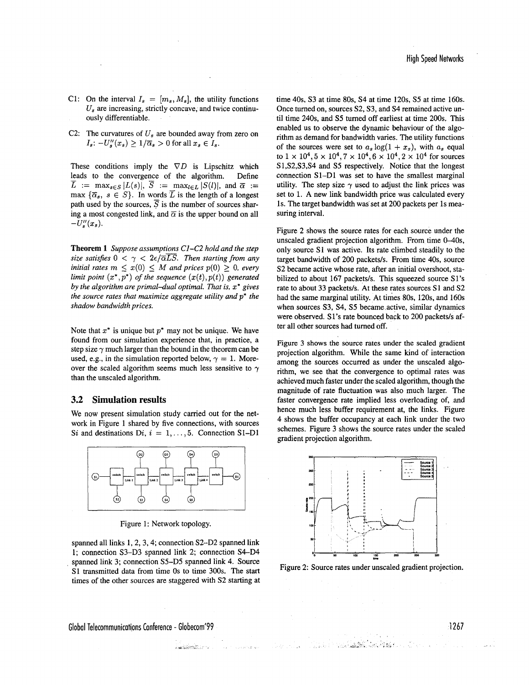- C1: On the interval  $I_s = [m_s, M_s]$ , the utility functions  $U_s$  are increasing, strictly concave, and twice continuously differentiable.
- C2: The curvatures of  $U_s$  are bounded away from zero on  $I_s: -U_s''(x_s) \geq 1/\overline{\alpha}_s > 0$  for all  $x_s \in I_s$ .

These conditions imply the  $\nabla D$  is Lipschitz which leads to the convergence of the algorithm. Define<br>  $\overline{L}$  : max  $\left| \frac{I(s)}{s} \right| \overline{S}$  : max  $\left| \frac{S(I)}{s} \right|$  and  $\overline{S}$  : max  $\overline{L}$  := max<sub>s $\in S$ </sub>  $|L(s)|$ ,  $\overline{S}$  := max<sub>l $\in L$ </sub>  $|S(l)|$ , and  $\overline{\alpha}$  := max  $\{\bar{\alpha}_s, s \in S\}$ . In words  $\bar{L}$  is the length of a longest path used by the sources,  $\overline{S}$  is the number of sources sharing a most congested link, and  $\bar{\alpha}$  is the upper bound on all  $-U''_s(x_s).$ 

**Theorem 1** *Suppose assumptions CI-C2 hold and the step size satisfies*  $0 < \gamma < 2\epsilon/\overline{\alpha L S}$ . Then starting from any *initial rates*  $m \leq x(0) \leq M$  *and prices*  $p(0) \geq 0$ *, every limit point*  $(x^*,p^*)$  *of the sequence*  $(x(t),p(t))$  generated *by the algorithm are primal-dual optimal. That is, x\* gives the source rates that maximize aggregate utility and p\* the shadow bandwidth prices.* 

Note that *x\** is unique but *p\** may not be unique. We have found from our simulation experience that, in practice, a step size  $\gamma$  much larger than the bound in the theorem can be used, e.g., in the simulation reported below,  $\gamma = 1$ . Moreover the scaled algorithm seems much less sensitive to  $\gamma$ than the unscaled algorithm.

## **3.2 Simulation results**

We now present simulation study carried out for the network in Figure 1 shared by five connections, with sources *Si* and destinations  $Di$ ,  $i = 1, \ldots, 5$ . Connection S1-D1



Figure 1: Network topology.

spanned all links 1, 2, 3, 4; connection S2-D2 spanned link 1; connection S3–D3 spanned link 2; connection S4–D4 spanned link 3; connection S5-D5 spanned link 4. Source S1 transmitted data from time 0s to time 300s. The start times of the other sources are staggered with S2 starting at

<u>La Charles Const</u>

Contract of the American

time 40s, S3 at time 80s, S4 at time 120s, S5 at time 160s. Once turned on, sources S2, **S3,** and S4 remained active until time 240s, and *S5* turned off earliest at time 200s. This enabled us to observe the dynamic behaviour of the algorithm as demand for bandwidth varies. The utility functions of the sources were set to  $a_s \log(1 + x_s)$ , with  $a_s$  equal to  $1 \times 10^4$ ,  $5 \times 10^4$ ,  $7 \times 10^4$ ,  $6 \times 10^4$ ,  $2 \times 10^4$  for sources **S** 1 ,S2,S3,S4 and S5 respectively. Notice that the longest connection S1-Dl was set to have the smallest marginal utility. The step size  $\gamma$  used to adjust the link prices was set to 1. A new link bandwidth price was calculated every 1s. The target bandwidth was'set at 200 packets per 1s measuring interval.

Figure 2 shows the source rates for each source under the unscaled gradient projection algorithm. From time  $0-40s$ , only source S1 was active. Its rate climbed steadily to the target bandwidth of 200 packets/s. From time 40s, source S2 became active whose rate, after an initial overshoot, stabilized to about 167 packets/s. This squeezed source S1's rate to about 33 packets/s. At these rates sources S1 and S2 had the same marginal utility. At times 80s, 120s, and 160s when sources **S3,** S4, *S5* became-active, similar dynamics were observed. S1's rate bounced back to 200 packets/s after all other sources had turned off.

Figure **3** shows the source rates under the scaled gradient projection algorithm. While the same kind of interaction among the sources occurred as under the unscaled algorithm, we see that the convergence to optimal rates was achieved much faster under the scaled algorithm, though the magnitude of rate fluctuation was also much larger. The faster convergence rate implied less overloading of, and hence much less buffer requirement at, the links. Figure **4** shows the buffer occupancy at each link under the two schemes. Figure **3** shows the source rates under the scaled gradient projection algorithm.



Figure 2: Source rates under unscaled gradient projection.

化焊接台

Global Telecommunications Conference - Globecom'99 **1267**